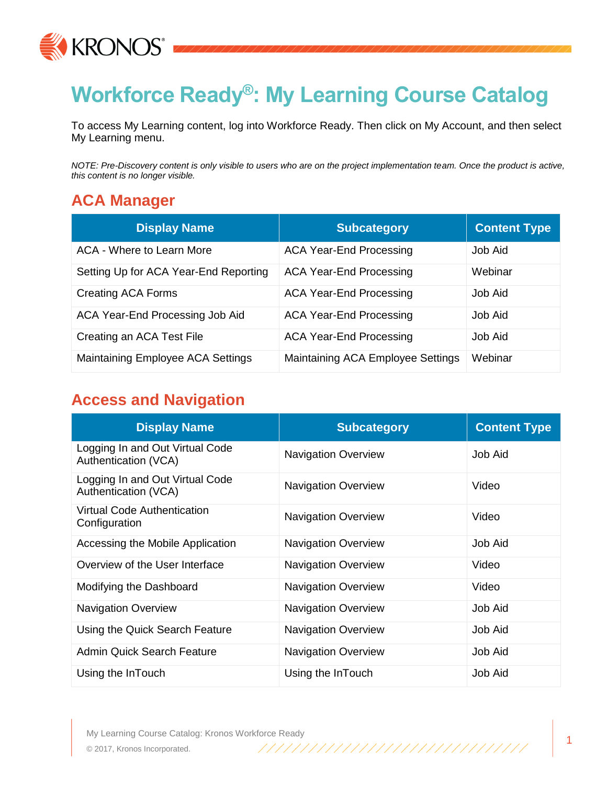

# **Workforce Ready®: My Learning Course Catalog**

To access My Learning content, log into Workforce Ready. Then click on My Account, and then select My Learning menu.

*NOTE: Pre-Discovery content is only visible to users who are on the project implementation team. Once the product is active, this content is no longer visible.*

#### **ACA Manager**

| <b>Display Name</b>                   | <b>Subcategory</b>                | <b>Content Type</b> |
|---------------------------------------|-----------------------------------|---------------------|
| ACA - Where to Learn More             | <b>ACA Year-End Processing</b>    | Job Aid             |
| Setting Up for ACA Year-End Reporting | <b>ACA Year-End Processing</b>    | Webinar             |
| <b>Creating ACA Forms</b>             | <b>ACA Year-End Processing</b>    | Job Aid             |
| ACA Year-End Processing Job Aid       | <b>ACA Year-End Processing</b>    | Job Aid             |
| Creating an ACA Test File             | <b>ACA Year-End Processing</b>    | Job Aid             |
| Maintaining Employee ACA Settings     | Maintaining ACA Employee Settings | Webinar             |

#### **Access and Navigation**

| <b>Display Name</b>                                     | <b>Subcategory</b>         | <b>Content Type</b> |
|---------------------------------------------------------|----------------------------|---------------------|
| Logging In and Out Virtual Code<br>Authentication (VCA) | <b>Navigation Overview</b> | Job Aid             |
| Logging In and Out Virtual Code<br>Authentication (VCA) | <b>Navigation Overview</b> | Video               |
| Virtual Code Authentication<br>Configuration            | <b>Navigation Overview</b> | Video               |
| Accessing the Mobile Application                        | <b>Navigation Overview</b> | Job Aid             |
| Overview of the User Interface                          | <b>Navigation Overview</b> | Video               |
| Modifying the Dashboard                                 | <b>Navigation Overview</b> | Video               |
| <b>Navigation Overview</b>                              | <b>Navigation Overview</b> | Job Aid             |
| Using the Quick Search Feature                          | <b>Navigation Overview</b> | <b>Job Aid</b>      |
| <b>Admin Quick Search Feature</b>                       | <b>Navigation Overview</b> | <b>Job Aid</b>      |
| Using the InTouch                                       | Using the InTouch          | Job Aid             |

My Learning Course Catalog: Kronos Workforce Ready © 2017, Kronos Incorporated.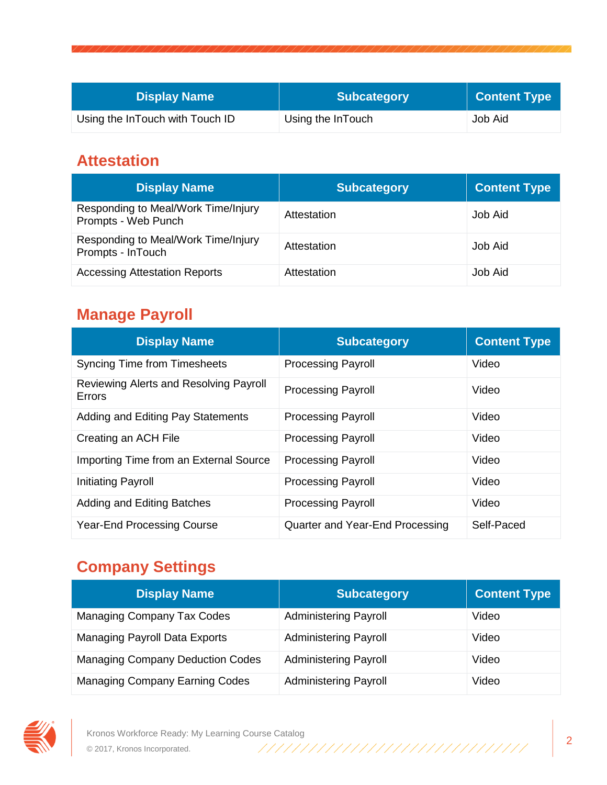| <b>Display Name</b>             | <b>Subcategory</b> | <b>Content Type</b> |
|---------------------------------|--------------------|---------------------|
| Using the InTouch with Touch ID | Using the InTouch  | Job Aid             |

#### **Attestation**

| <b>Display Name</b>                                        | <b>Subcategory</b> | <b>Content Type</b> |
|------------------------------------------------------------|--------------------|---------------------|
| Responding to Meal/Work Time/Injury<br>Prompts - Web Punch | Attestation        | Job Aid             |
| Responding to Meal/Work Time/Injury<br>Prompts - InTouch   | Attestation        | Job Aid             |
| <b>Accessing Attestation Reports</b>                       | Attestation        | Job Aid             |

### **Manage Payroll**

| <b>Display Name</b>                              | <b>Subcategory</b>              | <b>Content Type</b> |
|--------------------------------------------------|---------------------------------|---------------------|
| <b>Syncing Time from Timesheets</b>              | <b>Processing Payroll</b>       | Video               |
| Reviewing Alerts and Resolving Payroll<br>Errors | <b>Processing Payroll</b>       | Video               |
| Adding and Editing Pay Statements                | <b>Processing Payroll</b>       | Video               |
| Creating an ACH File                             | <b>Processing Payroll</b>       | Video               |
| Importing Time from an External Source           | <b>Processing Payroll</b>       | Video               |
| Initiating Payroll                               | <b>Processing Payroll</b>       | Video               |
| Adding and Editing Batches                       | <b>Processing Payroll</b>       | Video               |
| <b>Year-End Processing Course</b>                | Quarter and Year-End Processing | Self-Paced          |

## **Company Settings**

| <b>Display Name</b>                     | <b>Subcategory</b>           | <b>Content Type</b> |
|-----------------------------------------|------------------------------|---------------------|
| <b>Managing Company Tax Codes</b>       | <b>Administering Payroll</b> | Video               |
| <b>Managing Payroll Data Exports</b>    | <b>Administering Payroll</b> | Video               |
| <b>Managing Company Deduction Codes</b> | <b>Administering Payroll</b> | Video               |
| Managing Company Earning Codes          | <b>Administering Payroll</b> | Video               |

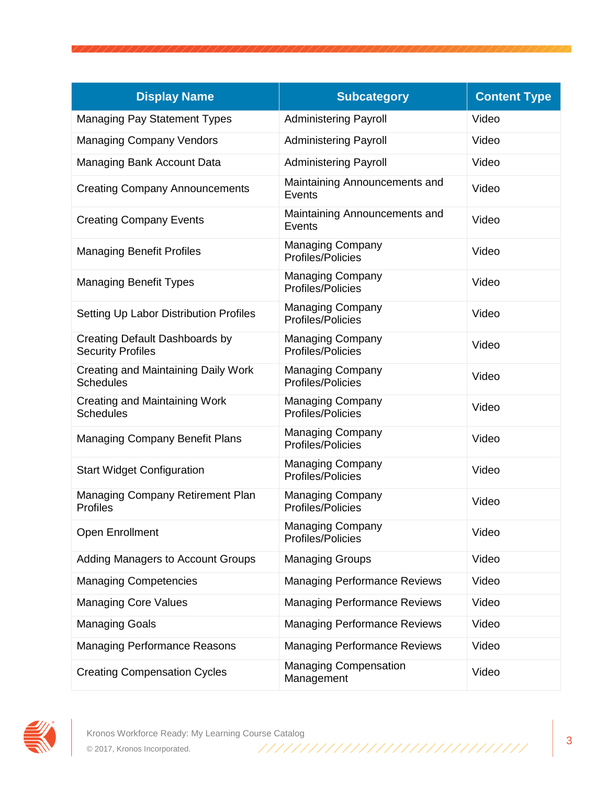| <b>Display Name</b>                                            | <b>Subcategory</b>                           | <b>Content Type</b> |
|----------------------------------------------------------------|----------------------------------------------|---------------------|
| <b>Managing Pay Statement Types</b>                            | <b>Administering Payroll</b>                 | Video               |
| <b>Managing Company Vendors</b>                                | <b>Administering Payroll</b>                 | Video               |
| Managing Bank Account Data                                     | <b>Administering Payroll</b>                 | Video               |
| <b>Creating Company Announcements</b>                          | Maintaining Announcements and<br>Events      | Video               |
| <b>Creating Company Events</b>                                 | Maintaining Announcements and<br>Events      | Video               |
| <b>Managing Benefit Profiles</b>                               | <b>Managing Company</b><br>Profiles/Policies | Video               |
| <b>Managing Benefit Types</b>                                  | <b>Managing Company</b><br>Profiles/Policies | Video               |
| Setting Up Labor Distribution Profiles                         | <b>Managing Company</b><br>Profiles/Policies | Video               |
| Creating Default Dashboards by<br><b>Security Profiles</b>     | <b>Managing Company</b><br>Profiles/Policies | Video               |
| <b>Creating and Maintaining Daily Work</b><br><b>Schedules</b> | <b>Managing Company</b><br>Profiles/Policies | Video               |
| Creating and Maintaining Work<br><b>Schedules</b>              | <b>Managing Company</b><br>Profiles/Policies | Video               |
| <b>Managing Company Benefit Plans</b>                          | <b>Managing Company</b><br>Profiles/Policies | Video               |
| <b>Start Widget Configuration</b>                              | <b>Managing Company</b><br>Profiles/Policies | Video               |
| Managing Company Retirement Plan<br><b>Profiles</b>            | <b>Managing Company</b><br>Profiles/Policies | Video               |
| Open Enrollment                                                | <b>Managing Company</b><br>Profiles/Policies | Video               |
| Adding Managers to Account Groups                              | <b>Managing Groups</b>                       | Video               |
| <b>Managing Competencies</b>                                   | <b>Managing Performance Reviews</b>          | Video               |
| <b>Managing Core Values</b>                                    | <b>Managing Performance Reviews</b>          | Video               |
| <b>Managing Goals</b>                                          | <b>Managing Performance Reviews</b>          | Video               |
| <b>Managing Performance Reasons</b>                            | <b>Managing Performance Reviews</b>          | Video               |
| <b>Creating Compensation Cycles</b>                            | <b>Managing Compensation</b><br>Management   | Video               |

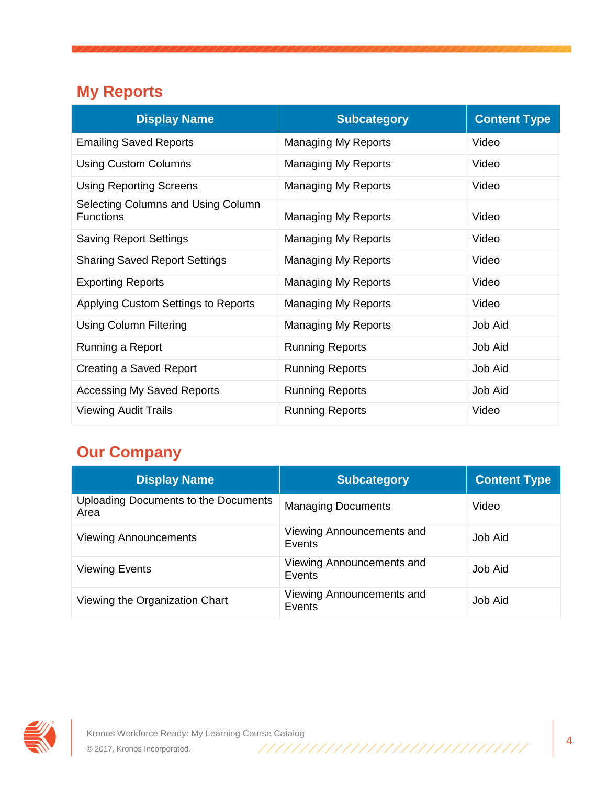## **My Reports**

| <b>Display Name</b>                                    | <b>Subcategory</b>         | <b>Content Type</b> |
|--------------------------------------------------------|----------------------------|---------------------|
| <b>Emailing Saved Reports</b>                          | Managing My Reports        | Video               |
| <b>Using Custom Columns</b>                            | Managing My Reports        | Video               |
| <b>Using Reporting Screens</b>                         | <b>Managing My Reports</b> | Video               |
| Selecting Columns and Using Column<br><b>Functions</b> | <b>Managing My Reports</b> | Video               |
| <b>Saving Report Settings</b>                          | Managing My Reports        | Video               |
| <b>Sharing Saved Report Settings</b>                   | <b>Managing My Reports</b> | Video               |
| <b>Exporting Reports</b>                               | <b>Managing My Reports</b> | Video               |
| Applying Custom Settings to Reports                    | Managing My Reports        | Video               |
| <b>Using Column Filtering</b>                          | <b>Managing My Reports</b> | Job Aid             |
| Running a Report                                       | <b>Running Reports</b>     | Job Aid             |
| Creating a Saved Report                                | <b>Running Reports</b>     | Job Aid             |
| <b>Accessing My Saved Reports</b>                      | <b>Running Reports</b>     | Job Aid             |
| <b>Viewing Audit Trails</b>                            | <b>Running Reports</b>     | Video               |

# **Our Company**

| <b>Display Name</b>                          | <b>Subcategory</b>                  | <b>Content Type</b> |
|----------------------------------------------|-------------------------------------|---------------------|
| Uploading Documents to the Documents<br>Area | <b>Managing Documents</b>           | Video               |
| <b>Viewing Announcements</b>                 | Viewing Announcements and<br>Events | Job Aid             |
| <b>Viewing Events</b>                        | Viewing Announcements and<br>Events | Job Aid             |
| Viewing the Organization Chart               | Viewing Announcements and<br>Events | <b>Job Aid</b>      |

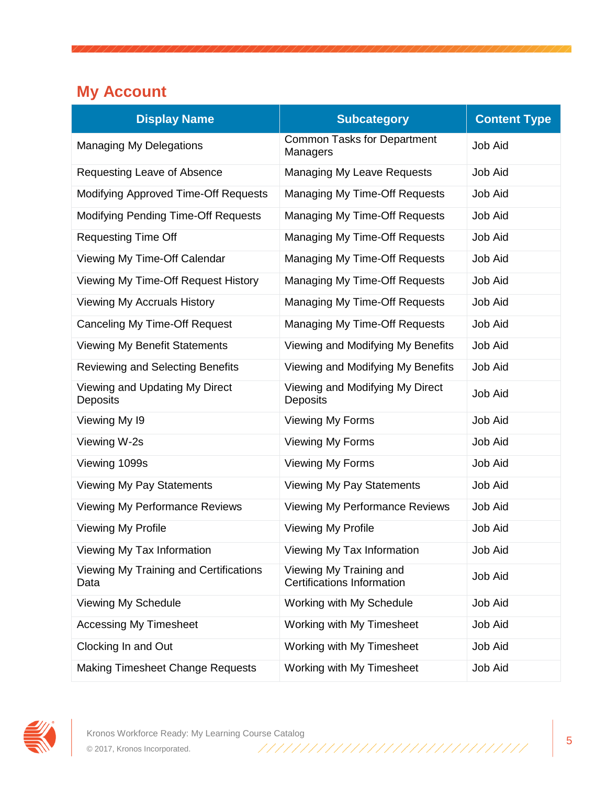## **My Account**

| <b>Display Name</b>                               | <b>Subcategory</b>                                           | <b>Content Type</b> |
|---------------------------------------------------|--------------------------------------------------------------|---------------------|
| <b>Managing My Delegations</b>                    | <b>Common Tasks for Department</b><br>Managers               | <b>Job Aid</b>      |
| Requesting Leave of Absence                       | Managing My Leave Requests                                   | Job Aid             |
| <b>Modifying Approved Time-Off Requests</b>       | Managing My Time-Off Requests                                | Job Aid             |
| <b>Modifying Pending Time-Off Requests</b>        | Managing My Time-Off Requests                                | Job Aid             |
| <b>Requesting Time Off</b>                        | Managing My Time-Off Requests                                | Job Aid             |
| Viewing My Time-Off Calendar                      | Managing My Time-Off Requests                                | Job Aid             |
| Viewing My Time-Off Request History               | Managing My Time-Off Requests                                | Job Aid             |
| <b>Viewing My Accruals History</b>                | Managing My Time-Off Requests                                | Job Aid             |
| Canceling My Time-Off Request                     | Managing My Time-Off Requests                                | Job Aid             |
| <b>Viewing My Benefit Statements</b>              | Viewing and Modifying My Benefits                            | Job Aid             |
| <b>Reviewing and Selecting Benefits</b>           | Viewing and Modifying My Benefits                            | Job Aid             |
| Viewing and Updating My Direct<br><b>Deposits</b> | Viewing and Modifying My Direct<br><b>Deposits</b>           | <b>Job Aid</b>      |
| Viewing My 19                                     | Viewing My Forms                                             | Job Aid             |
| Viewing W-2s                                      | <b>Viewing My Forms</b>                                      | Job Aid             |
| Viewing 1099s                                     | Viewing My Forms                                             | Job Aid             |
| Viewing My Pay Statements                         | <b>Viewing My Pay Statements</b>                             | Job Aid             |
| Viewing My Performance Reviews                    | <b>Viewing My Performance Reviews</b>                        | Job Aid             |
| <b>Viewing My Profile</b>                         | <b>Viewing My Profile</b>                                    | Job Aid             |
| Viewing My Tax Information                        | Viewing My Tax Information                                   | Job Aid             |
| Viewing My Training and Certifications<br>Data    | Viewing My Training and<br><b>Certifications Information</b> | Job Aid             |
| Viewing My Schedule                               | Working with My Schedule                                     | Job Aid             |
| <b>Accessing My Timesheet</b>                     | Working with My Timesheet                                    | <b>Job Aid</b>      |
| Clocking In and Out                               | Working with My Timesheet                                    | <b>Job Aid</b>      |
| <b>Making Timesheet Change Requests</b>           | Working with My Timesheet                                    | Job Aid             |

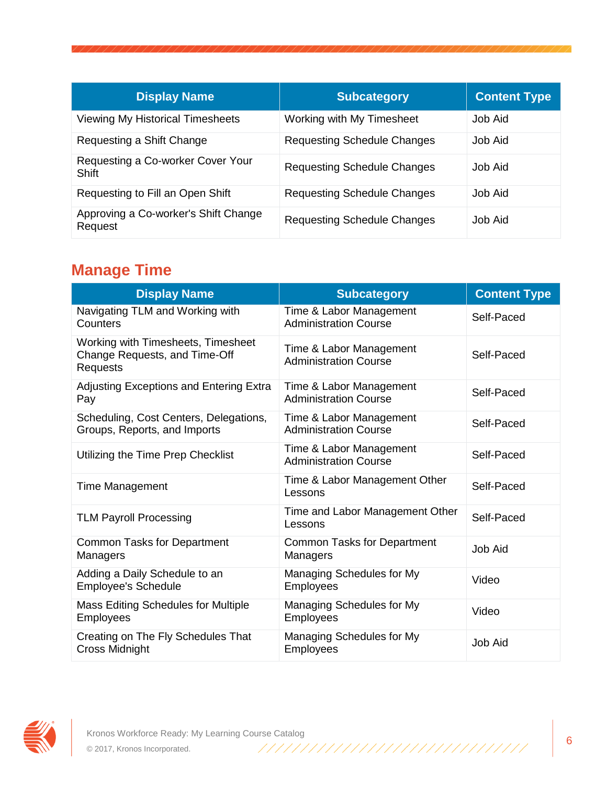| <b>Display Name</b>                               | <b>Subcategory</b>                 | <b>Content Type</b> |
|---------------------------------------------------|------------------------------------|---------------------|
| <b>Viewing My Historical Timesheets</b>           | Working with My Timesheet          | Job Aid             |
| Requesting a Shift Change                         | <b>Requesting Schedule Changes</b> | Job Aid             |
| Requesting a Co-worker Cover Your<br><b>Shift</b> | <b>Requesting Schedule Changes</b> | Job Aid             |
| Requesting to Fill an Open Shift                  | <b>Requesting Schedule Changes</b> | Job Aid             |
| Approving a Co-worker's Shift Change<br>Request   | <b>Requesting Schedule Changes</b> | Job Aid             |

### **Manage Time**

| <b>Display Name</b>                                                                    | <b>Subcategory</b>                                      | <b>Content Type</b> |
|----------------------------------------------------------------------------------------|---------------------------------------------------------|---------------------|
| Navigating TLM and Working with<br>Counters                                            | Time & Labor Management<br><b>Administration Course</b> | Self-Paced          |
| Working with Timesheets, Timesheet<br>Change Requests, and Time-Off<br><b>Requests</b> | Time & Labor Management<br><b>Administration Course</b> | Self-Paced          |
| <b>Adjusting Exceptions and Entering Extra</b><br>Pay                                  | Time & Labor Management<br><b>Administration Course</b> | Self-Paced          |
| Scheduling, Cost Centers, Delegations,<br>Groups, Reports, and Imports                 | Time & Labor Management<br><b>Administration Course</b> | Self-Paced          |
| Utilizing the Time Prep Checklist                                                      | Time & Labor Management<br><b>Administration Course</b> | Self-Paced          |
| <b>Time Management</b>                                                                 | Time & Labor Management Other<br>Lessons                | Self-Paced          |
| <b>TLM Payroll Processing</b>                                                          | Time and Labor Management Other<br>Lessons              | Self-Paced          |
| <b>Common Tasks for Department</b><br>Managers                                         | <b>Common Tasks for Department</b><br>Managers          | <b>Job Aid</b>      |
| Adding a Daily Schedule to an<br><b>Employee's Schedule</b>                            | Managing Schedules for My<br><b>Employees</b>           | Video               |
| <b>Mass Editing Schedules for Multiple</b><br><b>Employees</b>                         | Managing Schedules for My<br><b>Employees</b>           | Video               |
| Creating on The Fly Schedules That<br><b>Cross Midnight</b>                            | Managing Schedules for My<br><b>Employees</b>           | <b>Job Aid</b>      |

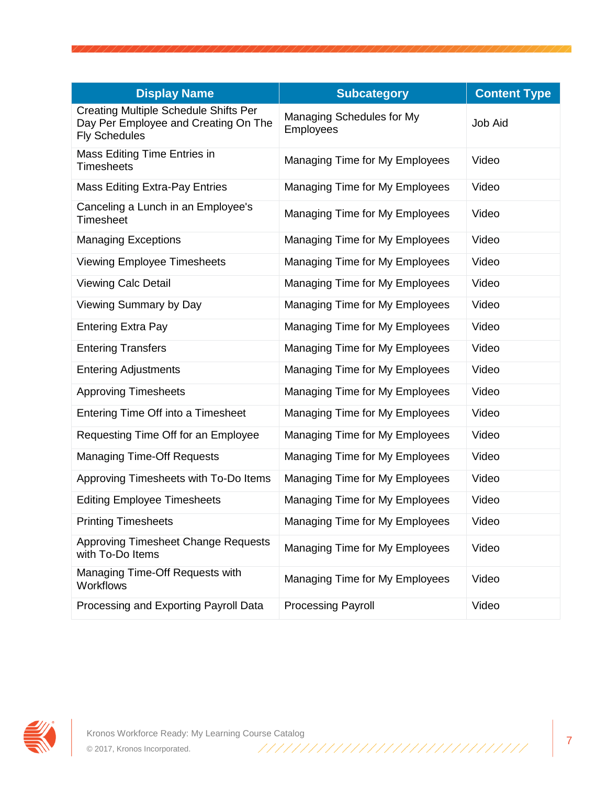| <b>Display Name</b>                                                                                          | <b>Subcategory</b>                            | <b>Content Type</b> |
|--------------------------------------------------------------------------------------------------------------|-----------------------------------------------|---------------------|
| <b>Creating Multiple Schedule Shifts Per</b><br>Day Per Employee and Creating On The<br><b>Fly Schedules</b> | Managing Schedules for My<br><b>Employees</b> | Job Aid             |
| Mass Editing Time Entries in<br><b>Timesheets</b>                                                            | Managing Time for My Employees                | Video               |
| <b>Mass Editing Extra-Pay Entries</b>                                                                        | Managing Time for My Employees                | Video               |
| Canceling a Lunch in an Employee's<br>Timesheet                                                              | Managing Time for My Employees                | Video               |
| <b>Managing Exceptions</b>                                                                                   | Managing Time for My Employees                | Video               |
| <b>Viewing Employee Timesheets</b>                                                                           | Managing Time for My Employees                | Video               |
| <b>Viewing Calc Detail</b>                                                                                   | Managing Time for My Employees                | Video               |
| Viewing Summary by Day                                                                                       | Managing Time for My Employees                | Video               |
| <b>Entering Extra Pay</b>                                                                                    | Managing Time for My Employees                | Video               |
| <b>Entering Transfers</b>                                                                                    | Managing Time for My Employees                | Video               |
| <b>Entering Adjustments</b>                                                                                  | Managing Time for My Employees                | Video               |
| <b>Approving Timesheets</b>                                                                                  | Managing Time for My Employees                | Video               |
| Entering Time Off into a Timesheet                                                                           | Managing Time for My Employees                | Video               |
| Requesting Time Off for an Employee                                                                          | Managing Time for My Employees                | Video               |
| <b>Managing Time-Off Requests</b>                                                                            | Managing Time for My Employees                | Video               |
| Approving Timesheets with To-Do Items                                                                        | Managing Time for My Employees                | Video               |
| <b>Editing Employee Timesheets</b>                                                                           | Managing Time for My Employees                | Video               |
| <b>Printing Timesheets</b>                                                                                   | Managing Time for My Employees                | Video               |
| Approving Timesheet Change Requests<br>with To-Do Items                                                      | Managing Time for My Employees                | Video               |
| Managing Time-Off Requests with<br><b>Workflows</b>                                                          | Managing Time for My Employees                | Video               |
| Processing and Exporting Payroll Data                                                                        | <b>Processing Payroll</b>                     | Video               |

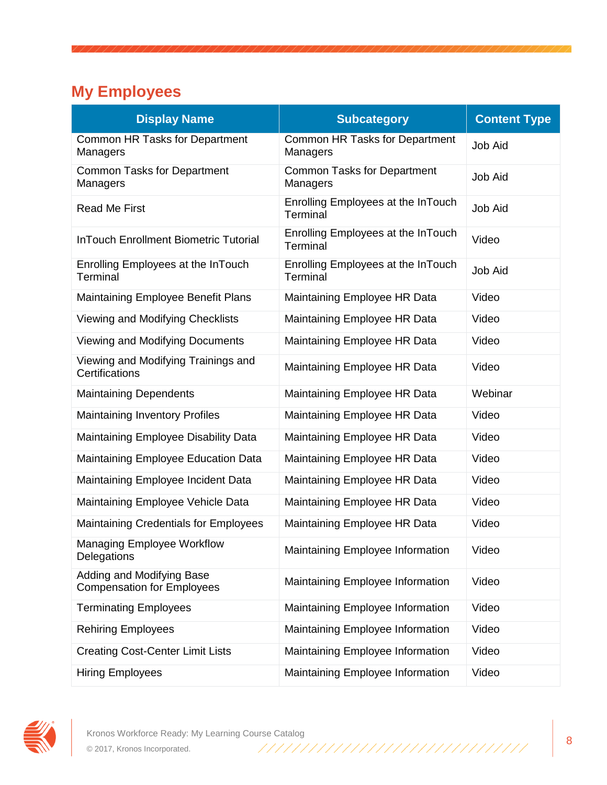# **My Employees**

| <b>Display Name</b>                                            | <b>Subcategory</b>                             | <b>Content Type</b> |
|----------------------------------------------------------------|------------------------------------------------|---------------------|
| Common HR Tasks for Department<br>Managers                     | Common HR Tasks for Department<br>Managers     | <b>Job Aid</b>      |
| <b>Common Tasks for Department</b><br>Managers                 | <b>Common Tasks for Department</b><br>Managers | <b>Job Aid</b>      |
| <b>Read Me First</b>                                           | Enrolling Employees at the InTouch<br>Terminal | Job Aid             |
| <b>InTouch Enrollment Biometric Tutorial</b>                   | Enrolling Employees at the InTouch<br>Terminal | Video               |
| Enrolling Employees at the InTouch<br>Terminal                 | Enrolling Employees at the InTouch<br>Terminal | <b>Job Aid</b>      |
| Maintaining Employee Benefit Plans                             | Maintaining Employee HR Data                   | Video               |
| Viewing and Modifying Checklists                               | Maintaining Employee HR Data                   | Video               |
| Viewing and Modifying Documents                                | Maintaining Employee HR Data                   | Video               |
| Viewing and Modifying Trainings and<br>Certifications          | Maintaining Employee HR Data                   | Video               |
| <b>Maintaining Dependents</b>                                  | Maintaining Employee HR Data                   | Webinar             |
| <b>Maintaining Inventory Profiles</b>                          | Maintaining Employee HR Data                   | Video               |
| Maintaining Employee Disability Data                           | Maintaining Employee HR Data                   | Video               |
| Maintaining Employee Education Data                            | Maintaining Employee HR Data                   | Video               |
| Maintaining Employee Incident Data                             | Maintaining Employee HR Data                   | Video               |
| Maintaining Employee Vehicle Data                              | Maintaining Employee HR Data                   | Video               |
| <b>Maintaining Credentials for Employees</b>                   | Maintaining Employee HR Data                   | Video               |
| <b>Managing Employee Workflow</b><br>Delegations               | Maintaining Employee Information               | Video               |
| Adding and Modifying Base<br><b>Compensation for Employees</b> | Maintaining Employee Information               | Video               |
| <b>Terminating Employees</b>                                   | Maintaining Employee Information               | Video               |
| <b>Rehiring Employees</b>                                      | Maintaining Employee Information               | Video               |
| <b>Creating Cost-Center Limit Lists</b>                        | Maintaining Employee Information               | Video               |
| <b>Hiring Employees</b>                                        | Maintaining Employee Information               | Video               |

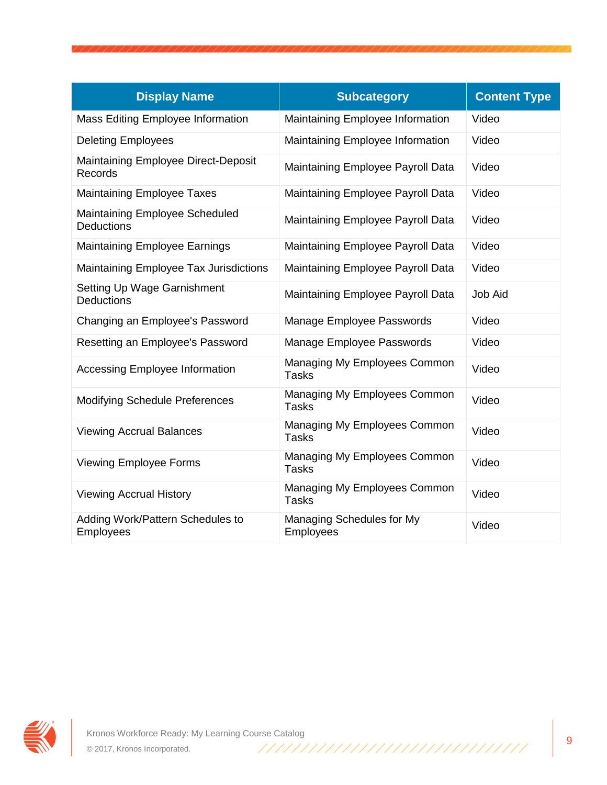| <b>Display Name</b>                              | <b>Subcategory</b>                           | <b>Content Type</b> |
|--------------------------------------------------|----------------------------------------------|---------------------|
| <b>Mass Editing Employee Information</b>         | Maintaining Employee Information             | Video               |
| <b>Deleting Employees</b>                        | Maintaining Employee Information             | Video               |
| Maintaining Employee Direct-Deposit<br>Records   | Maintaining Employee Payroll Data            | Video               |
| <b>Maintaining Employee Taxes</b>                | Maintaining Employee Payroll Data            | Video               |
| Maintaining Employee Scheduled<br>Deductions     | Maintaining Employee Payroll Data            | Video               |
| <b>Maintaining Employee Earnings</b>             | Maintaining Employee Payroll Data            | Video               |
| Maintaining Employee Tax Jurisdictions           | Maintaining Employee Payroll Data            | Video               |
| Setting Up Wage Garnishment<br><b>Deductions</b> | Maintaining Employee Payroll Data            | <b>Job Aid</b>      |
| Changing an Employee's Password                  | Manage Employee Passwords                    | Video               |
| Resetting an Employee's Password                 | Manage Employee Passwords                    | Video               |
| <b>Accessing Employee Information</b>            | Managing My Employees Common<br><b>Tasks</b> | Video               |
| <b>Modifying Schedule Preferences</b>            | Managing My Employees Common<br><b>Tasks</b> | Video               |
| <b>Viewing Accrual Balances</b>                  | Managing My Employees Common<br><b>Tasks</b> | Video               |
| <b>Viewing Employee Forms</b>                    | Managing My Employees Common<br><b>Tasks</b> | Video               |
| <b>Viewing Accrual History</b>                   | Managing My Employees Common<br><b>Tasks</b> | Video               |
| Adding Work/Pattern Schedules to<br>Employees    | Managing Schedules for My<br>Employees       | Video               |

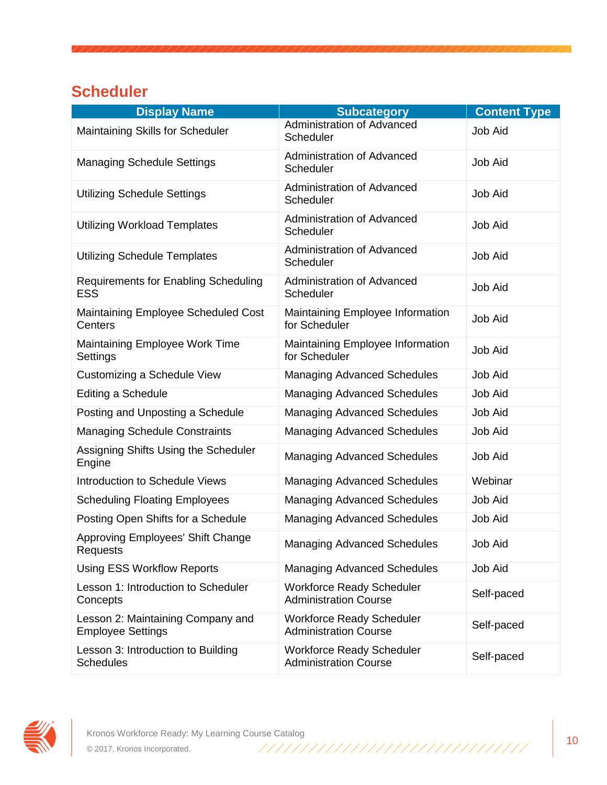### **Scheduler**

| <b>Display Name</b>                                           | <b>Subcategory</b>                                               | <b>Content Type</b> |
|---------------------------------------------------------------|------------------------------------------------------------------|---------------------|
| Maintaining Skills for Scheduler                              | <b>Administration of Advanced</b><br>Scheduler                   | <b>Job Aid</b>      |
| <b>Managing Schedule Settings</b>                             | <b>Administration of Advanced</b><br>Scheduler                   | Job Aid             |
| <b>Utilizing Schedule Settings</b>                            | <b>Administration of Advanced</b><br>Scheduler                   | Job Aid             |
| <b>Utilizing Workload Templates</b>                           | <b>Administration of Advanced</b><br>Scheduler                   | <b>Job Aid</b>      |
| <b>Utilizing Schedule Templates</b>                           | <b>Administration of Advanced</b><br>Scheduler                   | <b>Job Aid</b>      |
| <b>Requirements for Enabling Scheduling</b><br><b>ESS</b>     | <b>Administration of Advanced</b><br>Scheduler                   | <b>Job Aid</b>      |
| Maintaining Employee Scheduled Cost<br>Centers                | Maintaining Employee Information<br>for Scheduler                | <b>Job Aid</b>      |
| Maintaining Employee Work Time<br>Settings                    | Maintaining Employee Information<br>for Scheduler                | <b>Job Aid</b>      |
| Customizing a Schedule View                                   | <b>Managing Advanced Schedules</b>                               | Job Aid             |
| Editing a Schedule                                            | <b>Managing Advanced Schedules</b>                               | <b>Job Aid</b>      |
| Posting and Unposting a Schedule                              | <b>Managing Advanced Schedules</b>                               | Job Aid             |
| <b>Managing Schedule Constraints</b>                          | <b>Managing Advanced Schedules</b>                               | <b>Job Aid</b>      |
| Assigning Shifts Using the Scheduler<br>Engine                | <b>Managing Advanced Schedules</b>                               | <b>Job Aid</b>      |
| Introduction to Schedule Views                                | <b>Managing Advanced Schedules</b>                               | Webinar             |
| <b>Scheduling Floating Employees</b>                          | <b>Managing Advanced Schedules</b>                               | Job Aid             |
| Posting Open Shifts for a Schedule                            | <b>Managing Advanced Schedules</b>                               | Job Aid             |
| Approving Employees' Shift Change<br>Requests                 | <b>Managing Advanced Schedules</b>                               | Job Aid             |
| <b>Using ESS Workflow Reports</b>                             | <b>Managing Advanced Schedules</b>                               | Job Aid             |
| Lesson 1: Introduction to Scheduler<br>Concepts               | <b>Workforce Ready Scheduler</b><br><b>Administration Course</b> | Self-paced          |
| Lesson 2: Maintaining Company and<br><b>Employee Settings</b> | <b>Workforce Ready Scheduler</b><br><b>Administration Course</b> | Self-paced          |
| Lesson 3: Introduction to Building<br><b>Schedules</b>        | <b>Workforce Ready Scheduler</b><br><b>Administration Course</b> | Self-paced          |

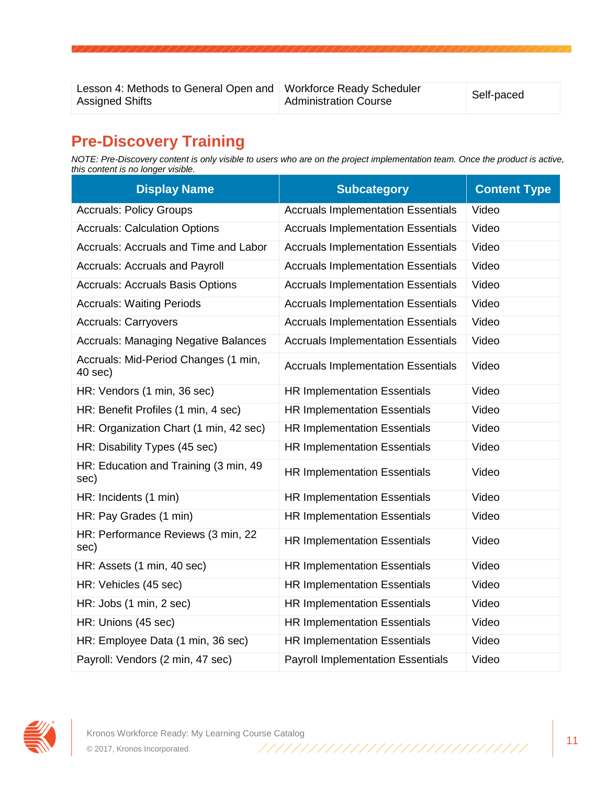Lesson 4: Methods to General Open and Workforce Ready Scheduler Assigned Shifts

workforce Ready Scrieduler<br>Administration Course

#### **Pre-Discovery Training**

*NOTE: Pre-Discovery content is only visible to users who are on the project implementation team. Once the product is active, this content is no longer visible.*

| <b>Display Name</b>                             | <b>Subcategory</b>                        | <b>Content Type</b> |
|-------------------------------------------------|-------------------------------------------|---------------------|
| <b>Accruals: Policy Groups</b>                  | <b>Accruals Implementation Essentials</b> | Video               |
| <b>Accruals: Calculation Options</b>            | <b>Accruals Implementation Essentials</b> | Video               |
| Accruals: Accruals and Time and Labor           | <b>Accruals Implementation Essentials</b> | Video               |
| <b>Accruals: Accruals and Payroll</b>           | <b>Accruals Implementation Essentials</b> | Video               |
| <b>Accruals: Accruals Basis Options</b>         | <b>Accruals Implementation Essentials</b> | Video               |
| <b>Accruals: Waiting Periods</b>                | <b>Accruals Implementation Essentials</b> | Video               |
| <b>Accruals: Carryovers</b>                     | <b>Accruals Implementation Essentials</b> | Video               |
| <b>Accruals: Managing Negative Balances</b>     | <b>Accruals Implementation Essentials</b> | Video               |
| Accruals: Mid-Period Changes (1 min,<br>40 sec) | <b>Accruals Implementation Essentials</b> | Video               |
| HR: Vendors (1 min, 36 sec)                     | <b>HR Implementation Essentials</b>       | Video               |
| HR: Benefit Profiles (1 min, 4 sec)             | <b>HR Implementation Essentials</b>       | Video               |
| HR: Organization Chart (1 min, 42 sec)          | <b>HR Implementation Essentials</b>       | Video               |
| HR: Disability Types (45 sec)                   | <b>HR Implementation Essentials</b>       | Video               |
| HR: Education and Training (3 min, 49<br>sec)   | <b>HR Implementation Essentials</b>       | Video               |
| HR: Incidents (1 min)                           | <b>HR Implementation Essentials</b>       | Video               |
| HR: Pay Grades (1 min)                          | <b>HR Implementation Essentials</b>       | Video               |
| HR: Performance Reviews (3 min, 22<br>sec)      | <b>HR Implementation Essentials</b>       | Video               |
| HR: Assets (1 min, 40 sec)                      | <b>HR Implementation Essentials</b>       | Video               |
| HR: Vehicles (45 sec)                           | <b>HR Implementation Essentials</b>       | Video               |
| HR: Jobs (1 min, 2 sec)                         | <b>HR Implementation Essentials</b>       | Video               |
| HR: Unions (45 sec)                             | <b>HR Implementation Essentials</b>       | Video               |
| HR: Employee Data (1 min, 36 sec)               | <b>HR Implementation Essentials</b>       | Video               |
| Payroll: Vendors (2 min, 47 sec)                | <b>Payroll Implementation Essentials</b>  | Video               |

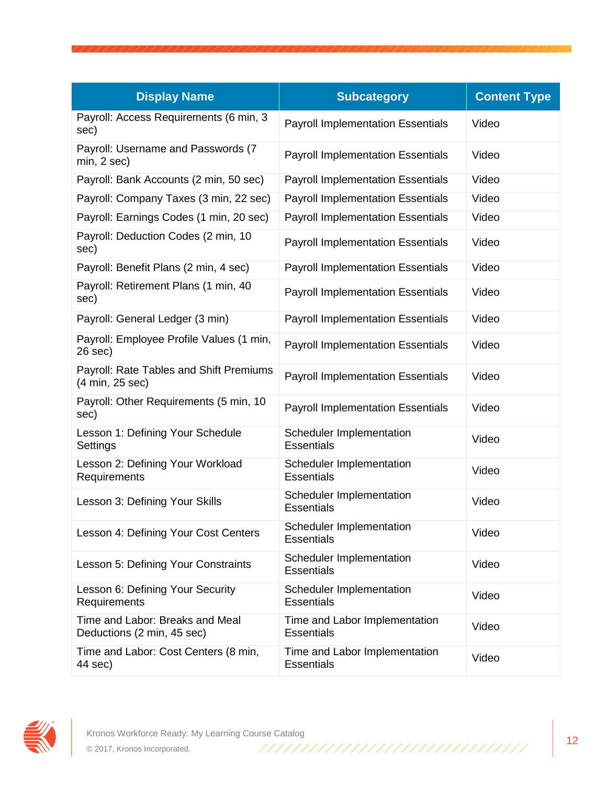| <b>Display Name</b>                                           | <b>Subcategory</b>                                 | <b>Content Type</b> |
|---------------------------------------------------------------|----------------------------------------------------|---------------------|
| Payroll: Access Requirements (6 min, 3<br>sec)                | <b>Payroll Implementation Essentials</b>           | Video               |
| Payroll: Username and Passwords (7<br>min, 2 sec)             | <b>Payroll Implementation Essentials</b>           | Video               |
| Payroll: Bank Accounts (2 min, 50 sec)                        | <b>Payroll Implementation Essentials</b>           | Video               |
| Payroll: Company Taxes (3 min, 22 sec)                        | <b>Payroll Implementation Essentials</b>           | Video               |
| Payroll: Earnings Codes (1 min, 20 sec)                       | <b>Payroll Implementation Essentials</b>           | Video               |
| Payroll: Deduction Codes (2 min, 10<br>sec)                   | <b>Payroll Implementation Essentials</b>           | Video               |
| Payroll: Benefit Plans (2 min, 4 sec)                         | <b>Payroll Implementation Essentials</b>           | Video               |
| Payroll: Retirement Plans (1 min, 40<br>sec)                  | <b>Payroll Implementation Essentials</b>           | Video               |
| Payroll: General Ledger (3 min)                               | <b>Payroll Implementation Essentials</b>           | Video               |
| Payroll: Employee Profile Values (1 min,<br>26 sec)           | <b>Payroll Implementation Essentials</b>           | Video               |
| Payroll: Rate Tables and Shift Premiums<br>(4 min, 25 sec)    | <b>Payroll Implementation Essentials</b>           | Video               |
| Payroll: Other Requirements (5 min, 10<br>sec)                | <b>Payroll Implementation Essentials</b>           | Video               |
| Lesson 1: Defining Your Schedule<br>Settings                  | Scheduler Implementation<br><b>Essentials</b>      | Video               |
| Lesson 2: Defining Your Workload<br>Requirements              | Scheduler Implementation<br><b>Essentials</b>      | Video               |
| Lesson 3: Defining Your Skills                                | Scheduler Implementation<br><b>Essentials</b>      | Video               |
| Lesson 4: Defining Your Cost Centers                          | Scheduler Implementation<br><b>Essentials</b>      | Video               |
| Lesson 5: Defining Your Constraints                           | Scheduler Implementation<br><b>Essentials</b>      | Video               |
| Lesson 6: Defining Your Security<br>Requirements              | Scheduler Implementation<br><b>Essentials</b>      | Video               |
| Time and Labor: Breaks and Meal<br>Deductions (2 min, 45 sec) | Time and Labor Implementation<br><b>Essentials</b> | Video               |
| Time and Labor: Cost Centers (8 min,<br>44 sec)               | Time and Labor Implementation<br><b>Essentials</b> | Video               |

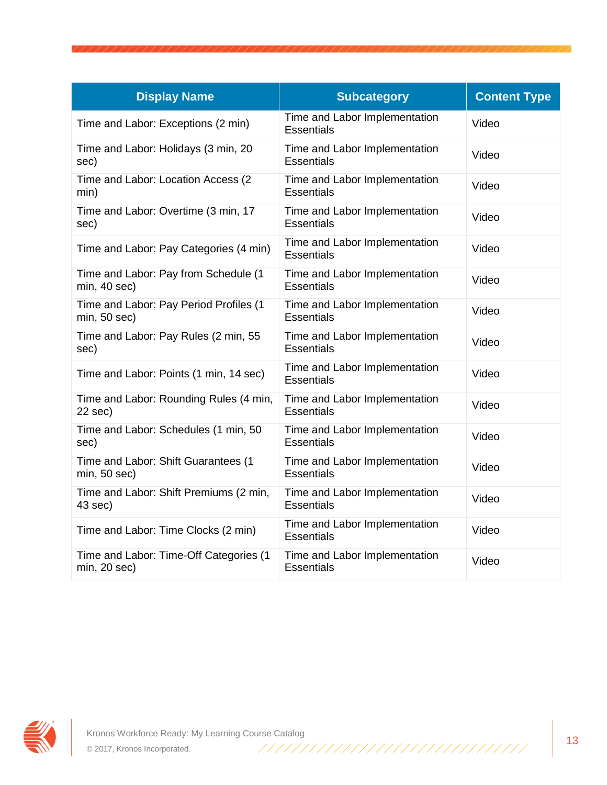| <b>Display Name</b>                                         | <b>Subcategory</b>                                 | <b>Content Type</b> |
|-------------------------------------------------------------|----------------------------------------------------|---------------------|
| Time and Labor: Exceptions (2 min)                          | Time and Labor Implementation<br><b>Essentials</b> | Video               |
| Time and Labor: Holidays (3 min, 20<br>sec)                 | Time and Labor Implementation<br>Essentials        | Video               |
| Time and Labor: Location Access (2<br>min)                  | Time and Labor Implementation<br><b>Essentials</b> | Video               |
| Time and Labor: Overtime (3 min, 17<br>sec)                 | Time and Labor Implementation<br><b>Essentials</b> | Video               |
| Time and Labor: Pay Categories (4 min)                      | Time and Labor Implementation<br>Essentials        | Video               |
| Time and Labor: Pay from Schedule (1<br>min, 40 sec)        | Time and Labor Implementation<br><b>Essentials</b> | Video               |
| Time and Labor: Pay Period Profiles (1<br>$min, 50$ sec $)$ | Time and Labor Implementation<br><b>Essentials</b> | Video               |
| Time and Labor: Pay Rules (2 min, 55<br>sec)                | Time and Labor Implementation<br><b>Essentials</b> | Video               |
| Time and Labor: Points (1 min, 14 sec)                      | Time and Labor Implementation<br><b>Essentials</b> | Video               |
| Time and Labor: Rounding Rules (4 min,<br>$22$ sec)         | Time and Labor Implementation<br>Essentials        | Video               |
| Time and Labor: Schedules (1 min, 50<br>sec)                | Time and Labor Implementation<br><b>Essentials</b> | Video               |
| Time and Labor: Shift Guarantees (1<br>min, 50 sec)         | Time and Labor Implementation<br><b>Essentials</b> | Video               |
| Time and Labor: Shift Premiums (2 min,<br>43 sec)           | Time and Labor Implementation<br><b>Essentials</b> | Video               |
| Time and Labor: Time Clocks (2 min)                         | Time and Labor Implementation<br><b>Essentials</b> | Video               |
| Time and Labor: Time-Off Categories (1<br>$min, 20$ sec $)$ | Time and Labor Implementation<br><b>Essentials</b> | Video               |

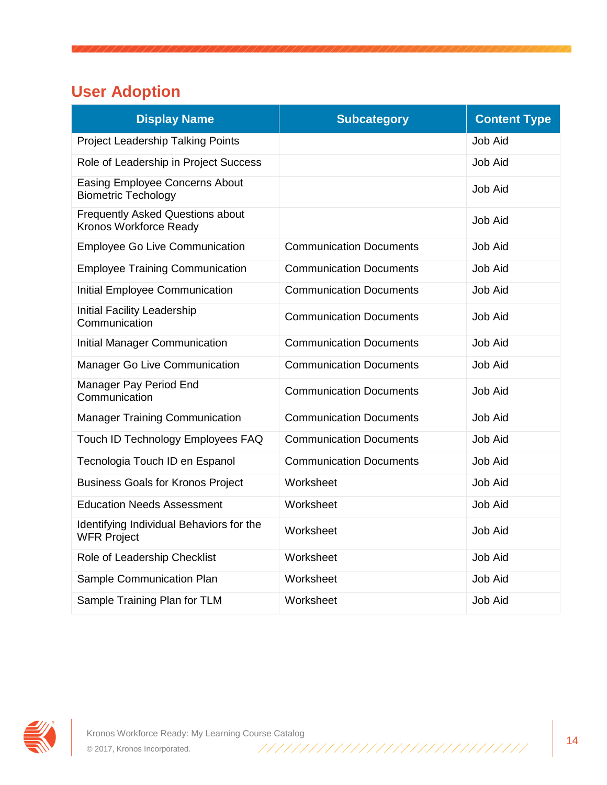# **User Adoption**

| <b>Display Name</b>                                                 | <b>Subcategory</b>             | <b>Content Type</b> |
|---------------------------------------------------------------------|--------------------------------|---------------------|
| <b>Project Leadership Talking Points</b>                            |                                | <b>Job Aid</b>      |
| Role of Leadership in Project Success                               |                                | Job Aid             |
| <b>Easing Employee Concerns About</b><br><b>Biometric Techology</b> |                                | Job Aid             |
| <b>Frequently Asked Questions about</b><br>Kronos Workforce Ready   |                                | <b>Job Aid</b>      |
| <b>Employee Go Live Communication</b>                               | <b>Communication Documents</b> | Job Aid             |
| <b>Employee Training Communication</b>                              | <b>Communication Documents</b> | <b>Job Aid</b>      |
| Initial Employee Communication                                      | <b>Communication Documents</b> | <b>Job Aid</b>      |
| Initial Facility Leadership<br>Communication                        | <b>Communication Documents</b> | Job Aid             |
| Initial Manager Communication                                       | <b>Communication Documents</b> | <b>Job Aid</b>      |
| Manager Go Live Communication                                       | <b>Communication Documents</b> | <b>Job Aid</b>      |
| Manager Pay Period End<br>Communication                             | <b>Communication Documents</b> | <b>Job Aid</b>      |
| <b>Manager Training Communication</b>                               | <b>Communication Documents</b> | Job Aid             |
| Touch ID Technology Employees FAQ                                   | <b>Communication Documents</b> | <b>Job Aid</b>      |
| Tecnologia Touch ID en Espanol                                      | <b>Communication Documents</b> | Job Aid             |
| <b>Business Goals for Kronos Project</b>                            | Worksheet                      | <b>Job Aid</b>      |
| <b>Education Needs Assessment</b>                                   | Worksheet                      | Job Aid             |
| Identifying Individual Behaviors for the<br><b>WFR Project</b>      | Worksheet                      | Job Aid             |
| Role of Leadership Checklist                                        | Worksheet                      | Job Aid             |
| Sample Communication Plan                                           | Worksheet                      | <b>Job Aid</b>      |
| Sample Training Plan for TLM                                        | Worksheet                      | <b>Job Aid</b>      |

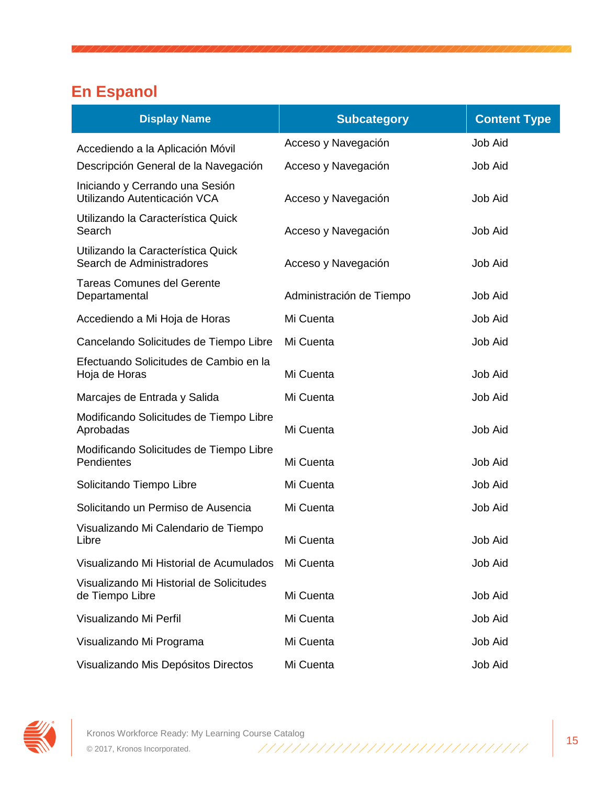# **En Espanol**

| <b>Display Name</b>                                             | <b>Subcategory</b>       | <b>Content Type</b> |
|-----------------------------------------------------------------|--------------------------|---------------------|
| Accediendo a la Aplicación Móvil                                | Acceso y Navegación      | <b>Job Aid</b>      |
| Descripción General de la Navegación                            | Acceso y Navegación      | <b>Job Aid</b>      |
| Iniciando y Cerrando una Sesión<br>Utilizando Autenticación VCA | Acceso y Navegación      | <b>Job Aid</b>      |
| Utilizando la Característica Quick<br>Search                    | Acceso y Navegación      | <b>Job Aid</b>      |
| Utilizando la Característica Quick<br>Search de Administradores | Acceso y Navegación      | <b>Job Aid</b>      |
| <b>Tareas Comunes del Gerente</b><br>Departamental              | Administración de Tiempo | <b>Job Aid</b>      |
| Accediendo a Mi Hoja de Horas                                   | Mi Cuenta                | <b>Job Aid</b>      |
| Cancelando Solicitudes de Tiempo Libre                          | Mi Cuenta                | <b>Job Aid</b>      |
| Efectuando Solicitudes de Cambio en la<br>Hoja de Horas         | Mi Cuenta                | <b>Job Aid</b>      |
| Marcajes de Entrada y Salida                                    | Mi Cuenta                | <b>Job Aid</b>      |
| Modificando Solicitudes de Tiempo Libre<br>Aprobadas            | Mi Cuenta                | <b>Job Aid</b>      |
| Modificando Solicitudes de Tiempo Libre<br>Pendientes           | Mi Cuenta                | <b>Job Aid</b>      |
| Solicitando Tiempo Libre                                        | Mi Cuenta                | <b>Job Aid</b>      |
| Solicitando un Permiso de Ausencia                              | Mi Cuenta                | <b>Job Aid</b>      |
| Visualizando Mi Calendario de Tiempo<br>Libre                   | Mi Cuenta                | <b>Job Aid</b>      |
| Visualizando Mi Historial de Acumulados                         | Mi Cuenta                | <b>Job Aid</b>      |
| Visualizando Mi Historial de Solicitudes<br>de Tiempo Libre     | Mi Cuenta                | <b>Job Aid</b>      |
| Visualizando Mi Perfil                                          | Mi Cuenta                | <b>Job Aid</b>      |
| Visualizando Mi Programa                                        | Mi Cuenta                | Job Aid             |
| Visualizando Mis Depósitos Directos                             | Mi Cuenta                | Job Aid             |